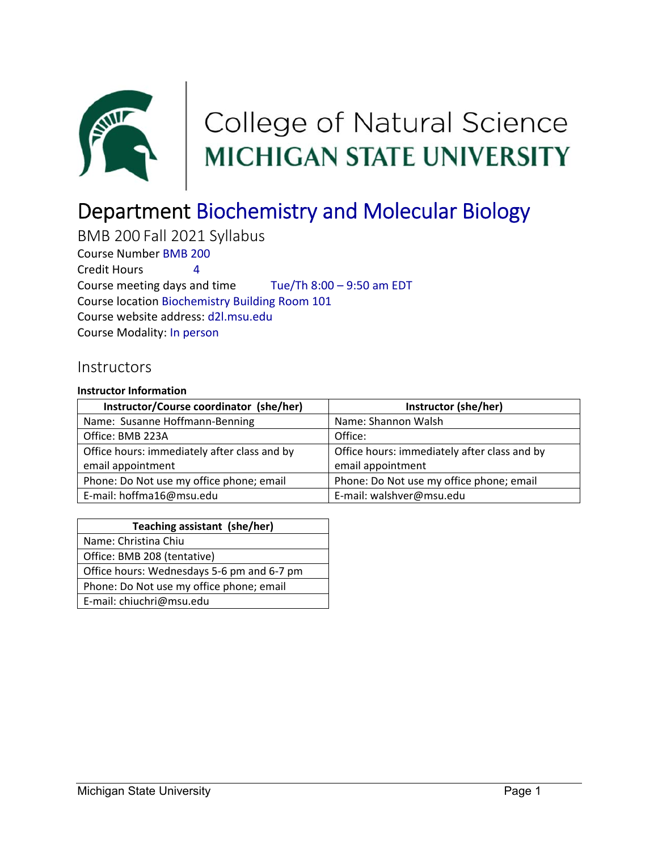

# College of Natural Science<br>MICHIGAN STATE UNIVERSITY

# Department Biochemistry and Molecular Biology

BMB 200 Fall 2021 Syllabus Course Number BMB 200 Credit Hours 4 Course meeting days and time Tue/Th 8:00 – 9:50 am EDT Course location Biochemistry Building Room 101 Course website address: d2l.msu.edu Course Modality: In person

#### **Instructors**

#### **Instructor Information**

| Instructor/Course coordinator (she/her)      | Instructor (she/her)                         |
|----------------------------------------------|----------------------------------------------|
| Name: Susanne Hoffmann-Benning               | Name: Shannon Walsh                          |
| Office: BMB 223A                             | Office:                                      |
| Office hours: immediately after class and by | Office hours: immediately after class and by |
| email appointment                            | email appointment                            |
| Phone: Do Not use my office phone; email     | Phone: Do Not use my office phone; email     |
| E-mail: hoffma16@msu.edu                     | E-mail: walshver@msu.edu                     |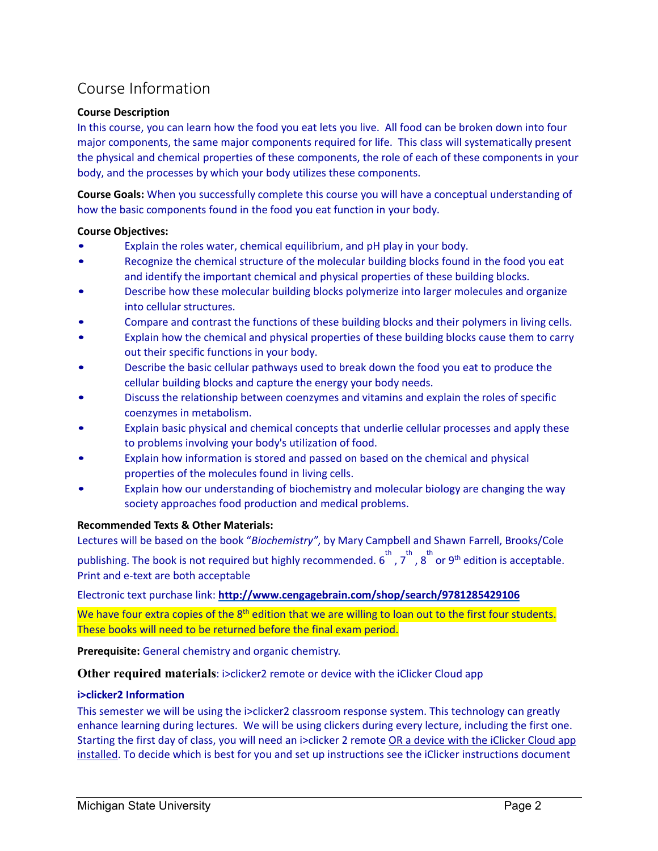## Course Information

#### **Course Description**

In this course, you can learn how the food you eat lets you live. All food can be broken down into four major components, the same major components required for life. This class will systematically present the physical and chemical properties of these components, the role of each of these components in your body, and the processes by which your body utilizes these components.

**Course Goals:** When you successfully complete this course you will have a conceptual understanding of how the basic components found in the food you eat function in your body.

#### **Course Objectives:**

- Explain the roles water, chemical equilibrium, and pH play in your body.
- Recognize the chemical structure of the molecular building blocks found in the food you eat and identify the important chemical and physical properties of these building blocks.
- Describe how these molecular building blocks polymerize into larger molecules and organize into cellular structures.
- Compare and contrast the functions of these building blocks and their polymers in living cells.
- Explain how the chemical and physical properties of these building blocks cause them to carry out their specific functions in your body.
- Describe the basic cellular pathways used to break down the food you eat to produce the cellular building blocks and capture the energy your body needs.
- Discuss the relationship between coenzymes and vitamins and explain the roles of specific coenzymes in metabolism.
- Explain basic physical and chemical concepts that underlie cellular processes and apply these to problems involving your body's utilization of food.
- Explain how information is stored and passed on based on the chemical and physical properties of the molecules found in living cells.
- Explain how our understanding of biochemistry and molecular biology are changing the way society approaches food production and medical problems.

#### **Recommended Texts & Other Materials:**

Lectures will be based on the book "*Biochemistry"*, by Mary Campbell and Shawn Farrell, Brooks/Cole publishing. The book is not required but highly recommended.  $6^{th}$ ,  $7^{th}$ ,  $8^{th}$  or 9<sup>th</sup> edition is acceptable. Print and e‐text are both acceptable

Electronic text purchase link: **http://www.cengagebrain.com/shop/search/9781285429106**

We have four extra copies of the 8<sup>th</sup> edition that we are willing to loan out to the first four students. These books will need to be returned before the final exam period.

**Prerequisite:** General chemistry and organic chemistry.

**Other required materials:** i>clicker2 remote or device with the iClicker Cloud app

#### **i>clicker2 Information**

This semester we will be using the i>clicker2 classroom response system. This technology can greatly enhance learning during lectures. We will be using clickers during every lecture, including the first one. Starting the first day of class, you will need an i>clicker 2 remote OR a device with the iClicker Cloud app installed. To decide which is best for you and set up instructions see the iClicker instructions document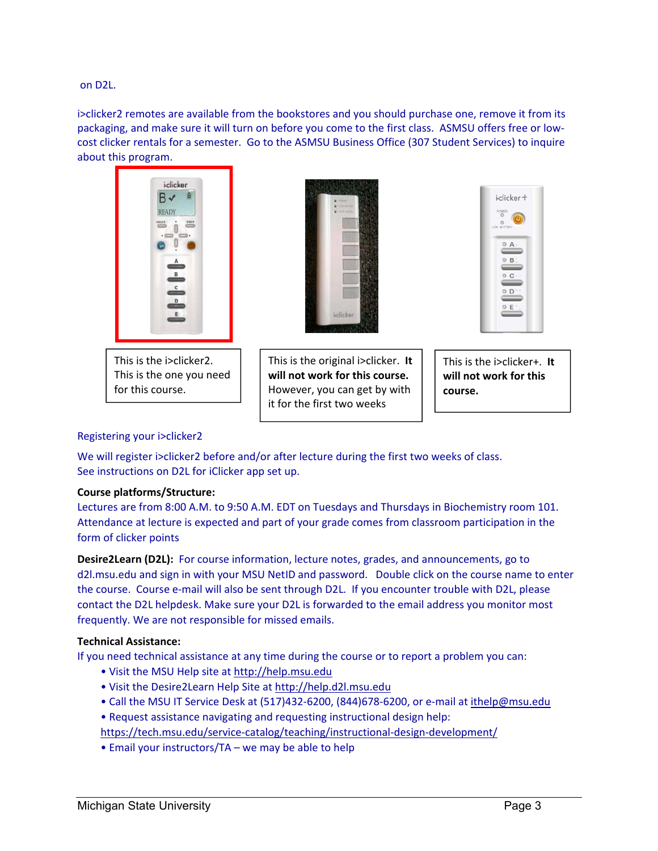on D2L.

i>clicker2 remotes are available from the bookstores and you should purchase one, remove it from its packaging, and make sure it will turn on before you come to the first class. ASMSU offers free or low‐ cost clicker rentals for a semester. Go to the ASMSU Business Office (307 Student Services) to inquire about this program.



This is the i>clicker2. This is the one you need for this course.



This is the original i>clicker. **It will not work for this course.**  However, you can get by with it for the first two weeks



This is the i>clicker+. **It will not work for this course.**

#### Registering your i>clicker2

We will register i>clicker2 before and/or after lecture during the first two weeks of class. See instructions on D2L for iClicker app set up.

#### **Course platforms/Structure:**

Lectures are from 8:00 A.M. to 9:50 A.M. EDT on Tuesdays and Thursdays in Biochemistry room 101. Attendance at lecture is expected and part of your grade comes from classroom participation in the form of clicker points

**Desire2Learn (D2L):** For course information, lecture notes, grades, and announcements, go to d2l.msu.edu and sign in with your MSU NetID and password. Double click on the course name to enter the course. Course e-mail will also be sent through D2L. If you encounter trouble with D2L, please contact the D2L helpdesk. Make sure your D2L is forwarded to the email address you monitor most frequently. We are not responsible for missed emails.

#### **Technical Assistance:**

If you need technical assistance at any time during the course or to report a problem you can:

- Visit the MSU Help site at http://help.msu.edu
- Visit the Desire2Learn Help Site at http://help.d2l.msu.edu
- Call the MSU IT Service Desk at (517)432-6200, (844)678-6200, or e-mail at ithelp@msu.edu
- Request assistance navigating and requesting instructional design help:

https://tech.msu.edu/service‐catalog/teaching/instructional‐design‐development/

• Email your instructors/TA – we may be able to help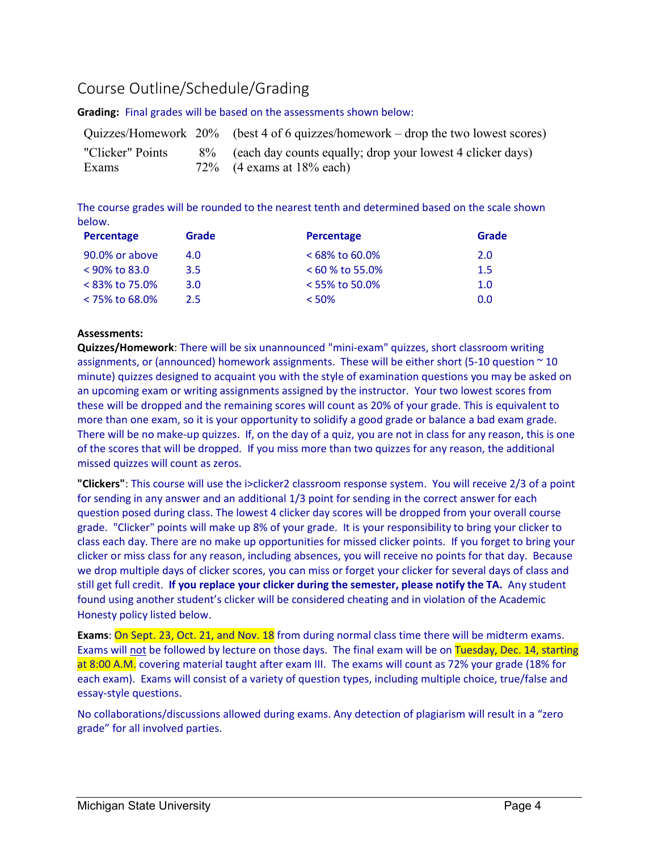## Course Outline/Schedule/Grading

**Grading:**  Final grades will be based on the assessments shown below:

|                           | Quizzes/Homework 20% (best 4 of 6 quizzes/homework – drop the two lowest scores)              |
|---------------------------|-----------------------------------------------------------------------------------------------|
| "Clicker" Points<br>Exams | 8% (each day counts equally; drop your lowest 4 clicker days)<br>$72\%$ (4 exams at 18% each) |

The course grades will be rounded to the nearest tenth and determined based on the scale shown below.

| Percentage        | Grade            | Percentage         | Grade |
|-------------------|------------------|--------------------|-------|
| 90.0% or above    | 4.0              | $< 68\%$ to 60.0%  | 2.0   |
| $< 90\%$ to 83.0  | 3.5              | $< 60 \%$ to 55.0% | 1.5   |
| $< 83\%$ to 75.0% | 3.0 <sub>2</sub> | $<$ 55% to 50.0%   | 1.0   |
| $<$ 75% to 68.0%  | $2.5^{\circ}$    | $<$ 50%            | 0.0   |

#### **Assessments:**

**Quizzes/Homework**: There will be six unannounced "mini‐exam" quizzes, short classroom writing assignments, or (announced) homework assignments. These will be either short (5-10 question  $\sim$  10 minute) quizzes designed to acquaint you with the style of examination questions you may be asked on an upcoming exam or writing assignments assigned by the instructor. Your two lowest scores from these will be dropped and the remaining scores will count as 20% of your grade. This is equivalent to more than one exam, so it is your opportunity to solidify a good grade or balance a bad exam grade. There will be no make‐up quizzes. If, on the day of a quiz, you are not in class for any reason, this is one of the scores that will be dropped. If you miss more than two quizzes for any reason, the additional missed quizzes will count as zeros.

**"Clickers"**: This course will use the i>clicker2 classroom response system. You will receive 2/3 of a point for sending in any answer and an additional 1/3 point for sending in the correct answer for each question posed during class. The lowest 4 clicker day scores will be dropped from your overall course grade. "Clicker" points will make up 8% of your grade. It is your responsibility to bring your clicker to class each day. There are no make up opportunities for missed clicker points. If you forget to bring your clicker or miss class for any reason, including absences, you will receive no points for that day. Because we drop multiple days of clicker scores, you can miss or forget your clicker for several days of class and still get full credit. **If you replace your clicker during the semester, please notify the TA.** Any student found using another student's clicker will be considered cheating and in violation of the Academic Honesty policy listed below.

Exams: On Sept. 23, Oct. 21, and Nov. 18 from during normal class time there will be midterm exams. Exams will not be followed by lecture on those days. The final exam will be on Tuesday, Dec. 14, starting at 8:00 A.M. covering material taught after exam III. The exams will count as 72% your grade (18% for each exam). Exams will consist of a variety of question types, including multiple choice, true/false and essay‐style questions.

No collaborations/discussions allowed during exams. Any detection of plagiarism will result in a "zero grade" for all involved parties.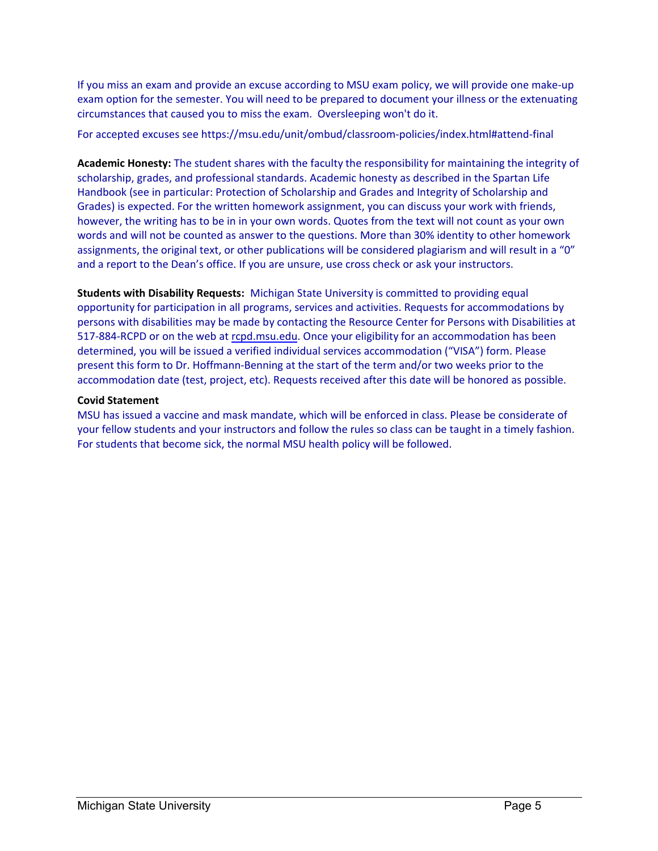If you miss an exam and provide an excuse according to MSU exam policy, we will provide one make‐up exam option for the semester. You will need to be prepared to document your illness or the extenuating circumstances that caused you to miss the exam. Oversleeping won't do it.

For accepted excuses see https://msu.edu/unit/ombud/classroom‐policies/index.html#attend‐final

**Academic Honesty:** The student shares with the faculty the responsibility for maintaining the integrity of scholarship, grades, and professional standards. Academic honesty as described in the Spartan Life Handbook (see in particular: Protection of Scholarship and Grades and Integrity of Scholarship and Grades) is expected. For the written homework assignment, you can discuss your work with friends, however, the writing has to be in in your own words. Quotes from the text will not count as your own words and will not be counted as answer to the questions. More than 30% identity to other homework assignments, the original text, or other publications will be considered plagiarism and will result in a "0" and a report to the Dean's office. If you are unsure, use cross check or ask your instructors.

**Students with Disability Requests:**  Michigan State University is committed to providing equal opportunity for participation in all programs, services and activities. Requests for accommodations by persons with disabilities may be made by contacting the Resource Center for Persons with Disabilities at 517‐884‐RCPD or on the web at rcpd.msu.edu. Once your eligibility for an accommodation has been determined, you will be issued a verified individual services accommodation ("VISA") form. Please present this form to Dr. Hoffmann‐Benning at the start of the term and/or two weeks prior to the accommodation date (test, project, etc). Requests received after this date will be honored as possible.

#### **Covid Statement**

MSU has issued a vaccine and mask mandate, which will be enforced in class. Please be considerate of your fellow students and your instructors and follow the rules so class can be taught in a timely fashion. For students that become sick, the normal MSU health policy will be followed.